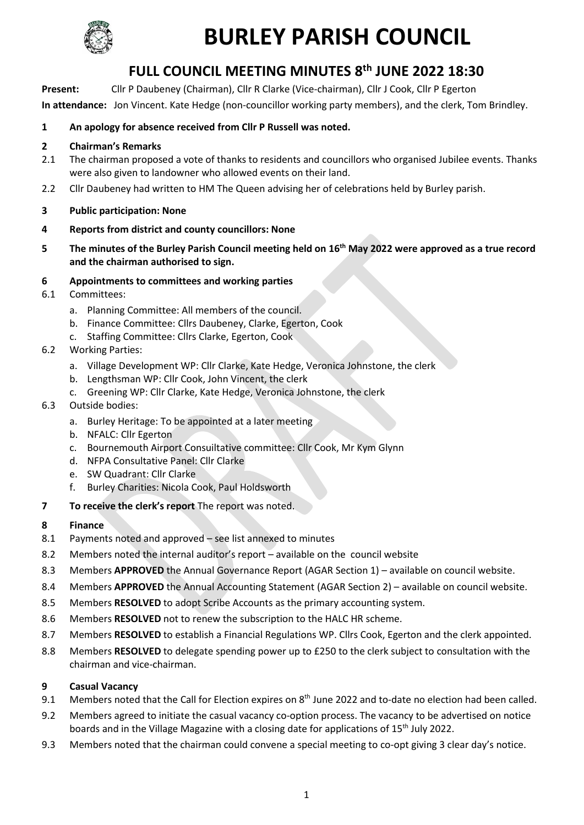

# **BURLEY PARISH COUNCIL**

# **FULL COUNCIL MEETING MINUTES 8 th JUNE 2022 18:30**

**Present:** Cllr P Daubeney (Chairman), Cllr R Clarke (Vice-chairman), Cllr J Cook, Cllr P Egerton **In attendance:** Jon Vincent. Kate Hedge (non-councillor working party members), and the clerk, Tom Brindley.

### **1 An apology for absence received from Cllr P Russell was noted.**

#### **2 Chairman's Remarks**

- 2.1 The chairman proposed a vote of thanks to residents and councillors who organised Jubilee events. Thanks were also given to landowner who allowed events on their land.
- 2.2 Cllr Daubeney had written to HM The Queen advising her of celebrations held by Burley parish.
- **3 Public participation: None**
- **4 Reports from district and county councillors: None**
- **5 The minutes of the Burley Parish Council meeting held on 16th May 2022 were approved as a true record and the chairman authorised to sign.**
- **6 Appointments to committees and working parties**
- 6.1 Committees:
	- a. Planning Committee: All members of the council.
	- b. Finance Committee: Cllrs Daubeney, Clarke, Egerton, Cook
	- c. Staffing Committee: Cllrs Clarke, Egerton, Cook
- 6.2 Working Parties:
	- a. Village Development WP: Cllr Clarke, Kate Hedge, Veronica Johnstone, the clerk
	- b. Lengthsman WP: Cllr Cook, John Vincent, the clerk
	- c. Greening WP: Cllr Clarke, Kate Hedge, Veronica Johnstone, the clerk
- 6.3 Outside bodies:
	- a. Burley Heritage: To be appointed at a later meeting
	- b. NFALC: Cllr Egerton
	- c. Bournemouth Airport Consuiltative committee: Cllr Cook, Mr Kym Glynn
	- d. NFPA Consultative Panel: Cllr Clarke
	- e. SW Quadrant: Cllr Clarke
	- f. Burley Charities: Nicola Cook, Paul Holdsworth
- **7 To receive the clerk's report** The report was noted.
- **8 Finance**
- 8.1 Payments noted and approved see list annexed to minutes
- 8.2 Members noted the internal auditor's report available on the council website
- 8.3 Members **APPROVED** the Annual Governance Report (AGAR Section 1) available on council website.
- 8.4 Members **APPROVED** the Annual Accounting Statement (AGAR Section 2) available on council website.
- 8.5 Members **RESOLVED** to adopt Scribe Accounts as the primary accounting system.
- 8.6 Members **RESOLVED** not to renew the subscription to the HALC HR scheme.
- 8.7 Members **RESOLVED** to establish a Financial Regulations WP. Cllrs Cook, Egerton and the clerk appointed.
- 8.8 Members **RESOLVED** to delegate spending power up to £250 to the clerk subject to consultation with the chairman and vice-chairman.

# **9 Casual Vacancy**

- 9.1 Members noted that the Call for Election expires on 8<sup>th</sup> June 2022 and to-date no election had been called.
- 9.2 Members agreed to initiate the casual vacancy co-option process. The vacancy to be advertised on notice boards and in the Village Magazine with a closing date for applications of 15<sup>th</sup> July 2022.
- 9.3 Members noted that the chairman could convene a special meeting to co-opt giving 3 clear day's notice.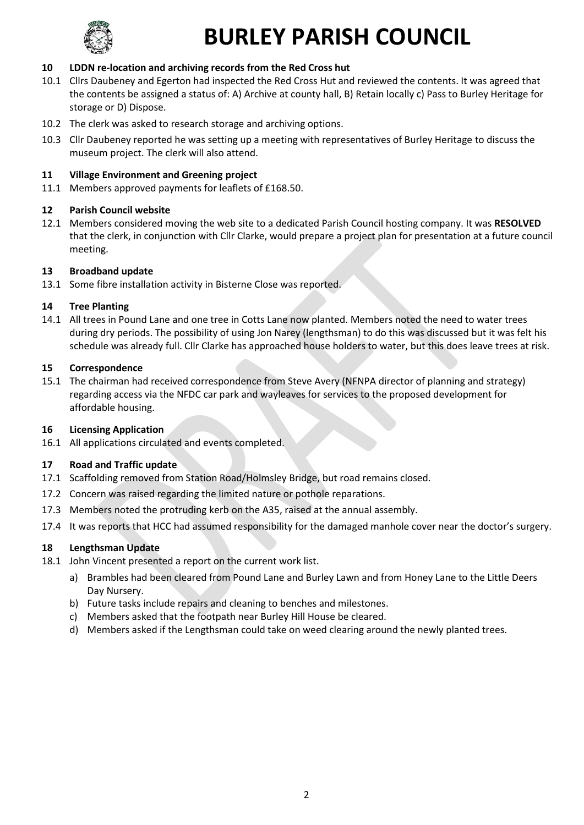

# **BURLEY PARISH COUNCIL**

# **10 LDDN re-location and archiving records from the Red Cross hut**

- 10.1 Cllrs Daubeney and Egerton had inspected the Red Cross Hut and reviewed the contents. It was agreed that the contents be assigned a status of: A) Archive at county hall, B) Retain locally c) Pass to Burley Heritage for storage or D) Dispose.
- 10.2 The clerk was asked to research storage and archiving options.
- 10.3 Cllr Daubeney reported he was setting up a meeting with representatives of Burley Heritage to discuss the museum project. The clerk will also attend.

# **11 Village Environment and Greening project**

11.1 Members approved payments for leaflets of £168.50.

### **12 Parish Council website**

12.1 Members considered moving the web site to a dedicated Parish Council hosting company. It was **RESOLVED** that the clerk, in conjunction with Cllr Clarke, would prepare a project plan for presentation at a future council meeting.

#### **13 Broadband update**

13.1 Some fibre installation activity in Bisterne Close was reported.

#### **14 Tree Planting**

14.1 All trees in Pound Lane and one tree in Cotts Lane now planted. Members noted the need to water trees during dry periods. The possibility of using Jon Narey (lengthsman) to do this was discussed but it was felt his schedule was already full. Cllr Clarke has approached house holders to water, but this does leave trees at risk.

#### **15 Correspondence**

15.1 The chairman had received correspondence from Steve Avery (NFNPA director of planning and strategy) regarding access via the NFDC car park and wayleaves for services to the proposed development for affordable housing.

#### **16 Licensing Application**

16.1 All applications circulated and events completed.

# **17 Road and Traffic update**

- 17.1 Scaffolding removed from Station Road/Holmsley Bridge, but road remains closed.
- 17.2 Concern was raised regarding the limited nature or pothole reparations.
- 17.3 Members noted the protruding kerb on the A35, raised at the annual assembly.
- 17.4 It was reports that HCC had assumed responsibility for the damaged manhole cover near the doctor's surgery.

# **18 Lengthsman Update**

- 18.1 John Vincent presented a report on the current work list.
	- a) Brambles had been cleared from Pound Lane and Burley Lawn and from Honey Lane to the Little Deers Day Nursery.
	- b) Future tasks include repairs and cleaning to benches and milestones.
	- c) Members asked that the footpath near Burley Hill House be cleared.
	- d) Members asked if the Lengthsman could take on weed clearing around the newly planted trees.